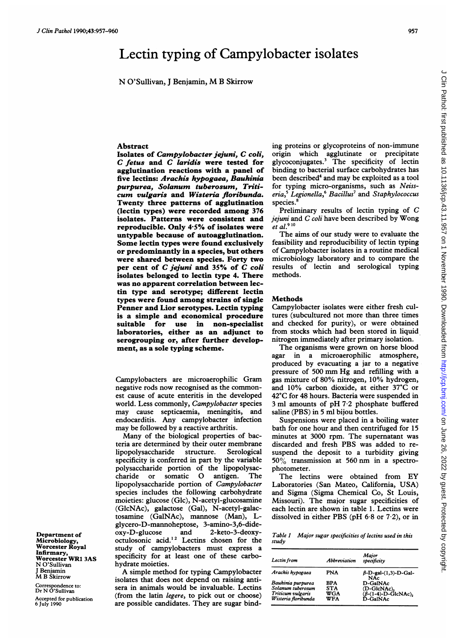## Lectin typing of Campylobacter isolates

N <sup>O</sup>'Sullivan, <sup>J</sup> Benjamin, M <sup>B</sup> Skirrow

## Abstract

Isolates of Campylobacter jejuni, C coli, C fetus and C laridis were tested for agglutination reactions with a panel of five lectins: Arachis hypogaea, Bauhinia purpurea, Solanum tuberosum, Triticum vulgaris and Wisteria floribunda. Twenty three patterns of agglutination (lectin types) were recorded among 376 isolates. Patterns were consistent and reproducible. Only 4-5% of isolates were untypable because of autoagglutination. Some lectin types were found exclusively or predominantly in a species, but others were shared between species. Forty two per cent of C jejuni and 35% of C coli isolates belonged to lectin type 4. There was no apparent correlation between lectin type and serotype; different lectin types were found among strains of single Penner and Lior serotypes. Lectin typing is a simple and economical procedure suitable for use in non-specialist laboratories, either as an adjunct to serogrouping or, after further development, as a sole typing scheme.

Campylobacters are microaerophilic Gram negative rods now recognised as the commonest cause of acute enteritis in the developed world. Less commonly, Campylobacter species may cause septicaemia, meningitis, and endocarditis. Any campylobacter infection may be followed by a reactive arthritis.

Many of the biological properties of bacteria are determined by their outer membrane lipopolysaccharide structure. Serological specificity is conferred in part by the variable polysaccharide portion of the lipopolysaccharide or somatic 0 antigen. The lipopolysaccharide portion of Campylobacter species includes the following carbohydrate moieties: glucose (Glc), N-acetyl-glucosamine (GlcNAc), galactose (Gal), N-acetyl-galactosamine (GalNAc), mannose (Man), Lglycero-D-mannoheptose, 3-amino-3,6-dideoxy-D-glucose  $\frac{1}{2}$  generated.<sup>12</sup> Lectins chosen for the study of campylobacters must express a specificity for at least one of these carbohydrate moieties.

A simple method for typing Campylobacter isolates that does not depend on raising antisera in animals would be invaluable. Lectins (from the latin legere, to pick out or choose) are possible candidates. They are sugar binding proteins or glycoproteins of non-immune origin which agglutinate or precipitate glycoconjugates.3 The specificity of lectin binding to bacterial surface carbohydrates has been described<sup>4</sup> and may be exploited as a tool for typing micro-organisms, such as Neiss $eria<sub>2</sub>5$  Legionella,<sup>6</sup> Bacillus<sup>7</sup> and Staphylococcus species.

Preliminary results of lectin typing of C  $j$ ejuni and  $C$  coli have been described by Wong et al. $910$ 

The aims of our study were to evaluate the feasibility and reproducibility of lectin typing of Campylobacter isolates in a routine medical microbiology laboratory and to compare the results of lectin and serological typing methods.

## **Methods**

Campylobacter isolates were either fresh cultures (subcultured not more than three times and checked for purity), or were obtained from stocks which had been stored in liquid nitrogen immediately after primary isolation.

The organisms were grown on horse blood agar in a microaerophilic atmosphere, produced by evacuating a jar to a negative pressure of <sup>500</sup> mm Hg and refilling with <sup>a</sup> gas mixture of 80% nitrogen, 10% hydrogen, and 10% carbon dioxide, at either 37°C or 42°C for 48 hours. Bacteria were suspended in <sup>3</sup> ml amounts of pH 7-2 phosphate buffered saline (PBS) in 5 ml bijou bottles.

Suspensions were placed in a boiling water bath for one hour and then centrifuged for 15 minutes at 3000 rpm. The supernatant was discarded and fresh PBS was added to resuspend the deposit to a turbidity giving 50% transmission at 560 nm in <sup>a</sup> spectrophotometer.

The lectins were obtained from EY Laboratories (San Mateo, California, USA) and Sigma (Sigma Chemical Co, St Louis, Missouri). The major sugar specificities of each lectin are shown in table 1. Lectins were dissolved in either PBS (pH  $6.8$  or  $7.2$ ), or in

Table <sup>I</sup> Major sugar specificities of lectins used in this study

| Lectin from                                                                        | Abbreviation                    | Major<br>specificity                                                     |
|------------------------------------------------------------------------------------|---------------------------------|--------------------------------------------------------------------------|
| Arachis hypogaea                                                                   | PNA                             | $\beta$ -D-gal- $(1,3)$ -D-Gal-<br><b>NAc</b>                            |
| Bauhinia purpurea<br>Solanum tuberosum<br>Triticum vulgaris<br>Wisteria floribunda | RPA<br>STA<br>WGA<br><b>WFA</b> | D-GalNAc<br>(D-GlcNAc),<br>$(\beta-(1-4)-D-\tilde{G}lcNAc),$<br>D-GalNAc |

Department of Microbiology, Worcester Royal Infirmary, Worcester WRI 3AS N <sup>O</sup>'Sullivan J Benjamin M B Skirrow

Correspondence to: Dr N <sup>O</sup>'Sullivan

Accepted for publication 6 July 1990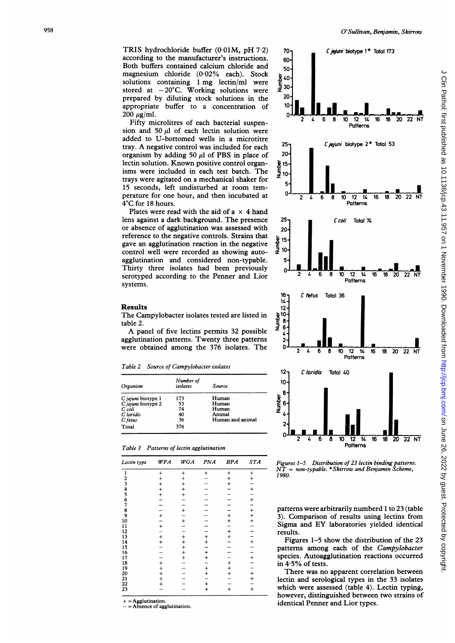TRIS hydrochloride buffer (0.01M, pH 7.2) according to the manufacturer's instructions. Both buffers contained calcium chloride and magnesium chloride (0-02% each). Stock solutions containing <sup>1</sup> mg lectin/ml were stored at  $-20^{\circ}$ C. Working solutions were prepared by diluting stock solutions in the appropriate buffer to a concentration of  $200 \mu$ g/ml.

Fifty microlitres of each bacterial suspension and 50  $\mu$ l of each lectin solution were added to U-bottomed wells in a microtitre tray. A negative control was included for each organism by adding 50  $\mu$ l of PBS in place of lectin solution. Known positive control organisms were included in each test batch. The trays were agitated on a mechanical shaker for 15 seconds, left undisturbed at room temperature for one hour, and then incubated at 4°C for 18 hours.

Plates were read with the aid of a  $\times$  4 hand lens against <sup>a</sup> dark background. The presence or absence of agglutination was assessed with reference to the negative controls. Strains that gave an agglutination reaction in the negative control well were recorded as showing autoagglutination and considered non-typable. Thirty three isolates had been previously serotyped according to the Penner and Lior systems.

The Campylobacter isolates tested are listed in

A panel of five lectins permits <sup>32</sup> possible agglutination patterns. Twenty three patterns were obtained among the 376 isolates. The



Table 2 Source of Campylobacter isolates

Results

table 2.

| Organism           | Number of<br>isolates | Source           |
|--------------------|-----------------------|------------------|
| C jejuni biotype 1 | 173                   | Human            |
| C jejuni biotype 2 | 53                    | Human            |
| C coli             | 74                    | Human            |
| C laridis          | 40                    | Animal           |
| C fetus            | 36                    | Human and animal |
| Total              | 376                   |                  |

|  | Table 3 Patterns of lectin agglutination |
|--|------------------------------------------|
|  |                                          |

| Lectin type                                              | WFA       | <b>WGA</b> | <b>PNA</b> | <b>BPA</b> | <b>STA</b>    |
|----------------------------------------------------------|-----------|------------|------------|------------|---------------|
| 1                                                        | $\,^+$    | $^{+}$     | $\ddot{}$  | $^{+}$     | $\ddot{}$     |
|                                                          | $\ddot{}$ | $\ddot{}$  |            | $\ddot{}$  | $\ddot{}$     |
|                                                          | $\ddot{}$ | $\ddot{}$  |            |            |               |
|                                                          |           | $\ddot{}$  |            |            | $\ddot{}$     |
|                                                          | $+$       | $\ddot{}$  |            |            |               |
| 23456789                                                 |           |            |            |            | $\pm$         |
|                                                          |           |            |            |            |               |
|                                                          |           | $\pmb{+}$  |            |            |               |
|                                                          | $\ddot{}$ |            |            | $\ddot{}$  |               |
| $\frac{10}{11}$                                          |           | $\ddot{}$  |            | $\ddot{}$  |               |
|                                                          | $\ddot{}$ |            |            |            |               |
|                                                          |           |            |            | $+$        |               |
|                                                          | $+$       | $\ddag$    | $+$        |            |               |
|                                                          |           | $^{+}$     |            |            |               |
|                                                          |           | $^{+}$     |            |            |               |
|                                                          |           | $+$        | $\ddot{}$  |            |               |
|                                                          |           |            | $\ddot{}$  |            | $\frac{1}{1}$ |
|                                                          | $+$       |            |            | $\ddot{}$  |               |
|                                                          |           |            | $^{+}$     | $\ddot{}$  |               |
| 12<br>14<br>15<br>16<br>17<br>18<br>19<br>22<br>22<br>23 | $^{+}$    |            | $^{+}$     |            | $\ddot{}$     |
|                                                          | $^{+}$    |            |            |            | $\ddot{}$     |
|                                                          | $^{+}$    |            |            |            |               |
|                                                          |           |            | $\ddot{}$  | $\ddot{}$  | $\ddot{}$     |

+ = Agglutination.

- Absence of agglutination.



patterns were arbitrarily numberd <sup>1</sup> to 23 (table 3). Comparison of results using lectins from Sigma and EY laboratories yielded identical results.

Figures 1-5 show the distribution of the 23 patterns among each of the Campylobacter species. Autoagglutination reactions occurred in 4-5% of tests.

There was no apparent correlation between lectin and serological types in the 33 isolates which were assessed (table 4). Lectin typing, however, distinguished between two strains of identical Penner and Lior types.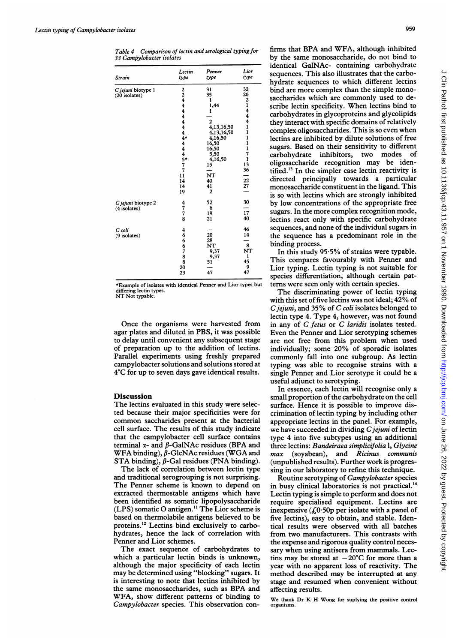Table 4 Comparison of lectin and serological typing for 33 Campylobacter isolates

| Strain             | Lectin<br>type                                  | Penner<br>type | Lior<br>type                 |
|--------------------|-------------------------------------------------|----------------|------------------------------|
| C jejuni biotype 1 |                                                 | 31             | 32                           |
| (20 isolates)      | $\begin{array}{c} 2 \\ 2 \\ 4 \\ 4 \end{array}$ | 35             | 26                           |
|                    |                                                 | ı              | 2144                         |
|                    |                                                 | 1,44           |                              |
|                    | 4                                               | 1              |                              |
|                    | 4                                               |                |                              |
|                    | 4                                               | 2              |                              |
|                    | $\ddot{\textbf{4}}$                             | 4,13,16,50     | 1                            |
|                    | $\ddot{\textbf{4}}$                             | 4,13,16,50     | $\mathbf{1}$                 |
|                    | $4*$                                            | 4,16,50        | 1                            |
|                    | $\overline{\mathbf{4}}$                         | 16,50          | $\mathbf{1}$<br>$\mathbf{1}$ |
|                    |                                                 | 16,50          | 7                            |
|                    | $4\n4\n5\n7\n7\n$                               | 5,50           | ı                            |
|                    |                                                 | 4,16,50<br>15  | 13                           |
|                    | 7                                               |                | 36                           |
|                    | 11                                              | NT             |                              |
|                    | 14                                              | 40             |                              |
|                    | 14                                              | 41             | $\frac{22}{27}$              |
|                    | 19                                              | 2              |                              |
| C jejuni biotype 2 | 4                                               | 52             | 30                           |
| $(4$ isolates)     |                                                 | 6              |                              |
|                    | 7<br>7                                          | 19             | 17                           |
|                    | 8                                               | 21             | 40                           |
| C coli             | 4                                               |                | 46                           |
| (9 isolates)       |                                                 | 20             | 14                           |
|                    |                                                 | 28             |                              |
|                    | 666788                                          | NT             | 8                            |
|                    |                                                 | 9,37           | NT                           |
|                    |                                                 | 9,37           | 1                            |
|                    |                                                 | 51             | 45                           |
|                    | 20                                              |                | 9                            |
|                    | 23                                              | 47             | 47                           |

\*Example of isolates with identical Penner and Lior types but differing lectin types. NT Not typable.

Once the organisms were harvested from agar plates and diluted in PBS, it was possible to delay until convenient any subsequent stage of preparation up to the addition of lectins. Parallel experiments using freshly prepared campylobacter solutions and solutions stored at 4'C for up to seven days gave identical results.

## Discussion

The lectins evaluated in this study were selected because their major specificities were for common saccharides present at the bacterial cell surface. The results of this study indicate that the campylobacter cell surface contains terminal  $\alpha$ - and  $\beta$ -GalNAc residues (BPA and WFA binding),  $\beta$ -GlcNAc residues (WGA and STA binding),  $\beta$ -Gal residues (PNA binding).

The lack of correlation between lectin type and traditional serogrouping is not surprising. The Penner scheme is known to depend on extracted thermostable antigens which have been identified as somatic lipopolysaccharide (LPS) somatic 0 antigen." The Lior scheme is based on thermolabile antigens believed to be proteins.'2 Lectins bind exclusively to carbohydrates, hence the lack of correlation with Penner and Lior schemes.

The exact sequence of carbohydrates to which a particular lectin binds is unknown, although the major specificity of each lectin may be determined using "blocking" sugars. It is interesting to note that lectins inhibited by the same monosaccharides, such as BPA and WFA, show different patterns of binding to Campylobacter species. This observation confirms that BPA and WFA, although inhibited by the same monosaccharide, do not bind to identical GalNAc- containing carbohydrate sequences. This also illustrates that the carbohydrate sequences to which different lectins bind are more complex than the simple monosaccharides which are commonly used to describe lectin specificity. When lectins bind to carbohydrates in glycoproteins and glycolipids they interact with specific domains of relatively complex oligosaccharides. This is so even when lectins are inhibited by dilute solutions of free sugars. Based on their sensitivity to different<br>carbohydrate inhibitors, two modes of carbohydrate inhibitors, two modes oligosaccharide recognition may be identified.'3 In the simpler case lectin reactivity is directed principally towards a particular monosaccharide constituent in the ligand. This is so with lectins which are strongly inhibited by low concentrations of the appropriate free sugars. In the more complex recognition mode, lectins react only with specific carbohydrate sequences, and none of the individual sugars in the sequence has a predominant role in the binding process.

In this study 95.5% of strains were typable. This compares favourably with Penner and Lior typing. Lectin typing is not suitable for species differentiation, although certain pattems were seen only with certain species.

The discriminating power of lectin typing with this set of five lectins was not ideal; 42% of C jejuni, and 35% of C coli isolates belonged to lectin type 4. Type 4, however, was not found in any of C fetus or C laridis isolates tested. Even the Penner and Lior serotyping schemes are not free from this problem when used individually; some 20% of sporadic isolates commonly fall into one subgroup. As lectin typing was able to recognise strains with a single Penner and Lior serotype it could be a useful adjunct to serotyping.

In essence, each lectin will recognise only a small proportion of the carbohydrate on the cell surface. Hence it is possible to improve discrimination of lectin typing by including other appropriate lectins in the panel. For example, we have succeeded in dividing C jejuni of lectin type 4 into five subtypes using an additional three lectins: Bandeiraea simplicifolia 1, Glycine max (soyabean), and Ricinus communis (unpublished results). Further work is progressing in our laboratory to refine this technique.

Routine serotyping of Campylobacter species in busy clinical laboratories is not practical.'4 Lectin typing is simple to perform and does not require specialised equipment. Lectins are inexpensive  $(0.60p)$  per isolate with a panel of five lectins), easy to obtain, and stable. Identical results were observed with all batches from two manufacturers. This contrasts with the expense and rigorous quality control necessary when using antisera from mammals. Lectins may be stored at  $-20^{\circ}$ C for more than a year with no apparent loss of reactivity. The method described may be interrupted at any stage and resumed when convenient without affecting results.

We thank Dr K H Wong for suplying the positive control organisms.